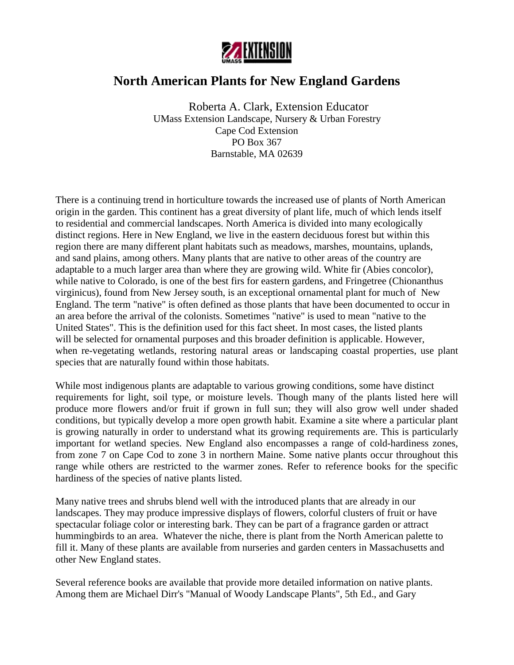

# **North American Plants for New England Gardens**

 Roberta A. Clark, Extension Educator UMass Extension Landscape, Nursery & Urban Forestry Cape Cod Extension PO Box 367 Barnstable, MA 02639

There is a continuing trend in horticulture towards the increased use of plants of North American origin in the garden. This continent has a great diversity of plant life, much of which lends itself to residential and commercial landscapes. North America is divided into many ecologically distinct regions. Here in New England, we live in the eastern deciduous forest but within this region there are many different plant habitats such as meadows, marshes, mountains, uplands, and sand plains, among others. Many plants that are native to other areas of the country are adaptable to a much larger area than where they are growing wild. White fir (Abies concolor), while native to Colorado, is one of the best firs for eastern gardens, and Fringetree (Chionanthus virginicus), found from New Jersey south, is an exceptional ornamental plant for much of New England. The term "native" is often defined as those plants that have been documented to occur in an area before the arrival of the colonists. Sometimes "native" is used to mean "native to the United States". This is the definition used for this fact sheet. In most cases, the listed plants will be selected for ornamental purposes and this broader definition is applicable. However, when re-vegetating wetlands, restoring natural areas or landscaping coastal properties, use plant species that are naturally found within those habitats.

While most indigenous plants are adaptable to various growing conditions, some have distinct requirements for light, soil type, or moisture levels. Though many of the plants listed here will produce more flowers and/or fruit if grown in full sun; they will also grow well under shaded conditions, but typically develop a more open growth habit. Examine a site where a particular plant is growing naturally in order to understand what its growing requirements are. This is particularly important for wetland species. New England also encompasses a range of cold-hardiness zones, from zone 7 on Cape Cod to zone 3 in northern Maine. Some native plants occur throughout this range while others are restricted to the warmer zones. Refer to reference books for the specific hardiness of the species of native plants listed.

Many native trees and shrubs blend well with the introduced plants that are already in our landscapes. They may produce impressive displays of flowers, colorful clusters of fruit or have spectacular foliage color or interesting bark. They can be part of a fragrance garden or attract hummingbirds to an area. Whatever the niche, there is plant from the North American palette to fill it. Many of these plants are available from nurseries and garden centers in Massachusetts and other New England states.

Several reference books are available that provide more detailed information on native plants. Among them are Michael Dirr's "Manual of Woody Landscape Plants", 5th Ed., and Gary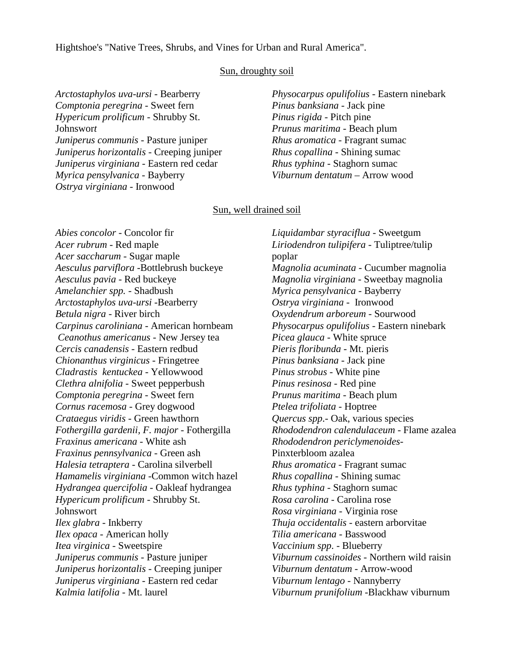Hightshoe's "Native Trees, Shrubs, and Vines for Urban and Rural America".

# Sun, droughty soil

*Arctostaphylos uva-ursi* - Bearberry *Comptonia peregrina* - Sweet fern *Hypericum prolificum* - Shrubby St. Johnswor*t Juniperus communis* - Pasture juniper *Juniperus horizontalis* - Creeping juniper *Juniperus virginiana* - Eastern red cedar *Myrica pensylvanica* - Bayberry *Ostrya virginiana* - Ironwood

*Physocarpus opulifolius* - Eastern ninebark *Pinus banksiana* - Jack pine *Pinus rigida* - Pitch pine *Prunus maritima* - Beach plum *Rhus aromatica* - Fragrant sumac *Rhus copallina* - Shining sumac *Rhus typhina* - Staghorn sumac *Viburnum dentatum* – Arrow wood

## Sun, well drained soil

*Abies concolor* - Concolor fir *Acer rubrum* - Red maple *Acer saccharum* - Sugar maple *Aesculus parviflora* -Bottlebrush buckeye *Aesculus pavia* - Red buckeye *Amelanchier spp.* - Shadbush *Arctostaphylos uva-ursi* -Bearberry *Betula nigra* - River birch *Carpinus caroliniana* - American hornbeam  *Ceanothus americanus* - New Jersey tea *Cercis canadensis* - Eastern redbud *Chionanthus virginicus* - Fringetree *Cladrastis kentuckea* - Yellowwood *Clethra alnifolia* - Sweet pepperbush *Comptonia peregrina* - Sweet fern *Cornus racemosa* - Grey dogwood *Crataegus viridis* - Green hawthorn *Fothergilla gardenii, F. major* - Fothergilla *Fraxinus americana* - White ash *Fraxinus pennsylvanica* - Green ash *Halesia tetraptera* - Carolina silverbell *Hamamelis virginiana* -Common witch hazel *Hydrangea quercifolia* - Oakleaf hydrangea *Hypericum prolificum* - Shrubby St. **Johnswort** *Ilex glabra* - Inkberry *Ilex opaca* - American holly *Itea virginica* - Sweetspire *Juniperus communis* - Pasture juniper *Juniperus horizontalis* - Creeping juniper *Juniperus virginiana* - Eastern red cedar *Kalmia latifolia* - Mt. laurel

*Liquidambar styraciflua* - Sweetgum *Liriodendron tulipifera* - Tuliptree/tulip poplar *Magnolia acuminata* - Cucumber magnolia *Magnolia virginiana* - Sweetbay magnolia *Myrica pensylvanica* - Bayberry *Ostrya virginiana* - Ironwood *Oxydendrum arboreum* - Sourwood *Physocarpus opulifolius* - Eastern ninebark *Picea glauca* - White spruce *Pieris floribunda* - Mt. pieris *Pinus banksiana* - Jack pine *Pinus strobus* - White pine *Pinus resinosa* - Red pine *Prunus maritima* - Beach plum *Ptelea trifoliata* - Hoptree *Quercus spp*.- Oak, various species *Rhododendron calendulaceum* - Flame azalea *Rhododendron periclymenoides-*Pinxterbloom azalea *Rhus aromatica* - Fragrant sumac *Rhus copallina* - Shining sumac *Rhus typhina* - Staghorn sumac *Rosa carolina* - Carolina rose *Rosa virginiana* - Virginia rose *Thuja occidentalis* - eastern arborvitae *Tilia americana* - Basswood *Vaccinium spp*. - Blueberry *Viburnum cassinoides* - Northern wild raisin *Viburnum dentatum* - Arrow-wood *Viburnum lentago* - Nannyberry *Viburnum prunifolium* -Blackhaw viburnum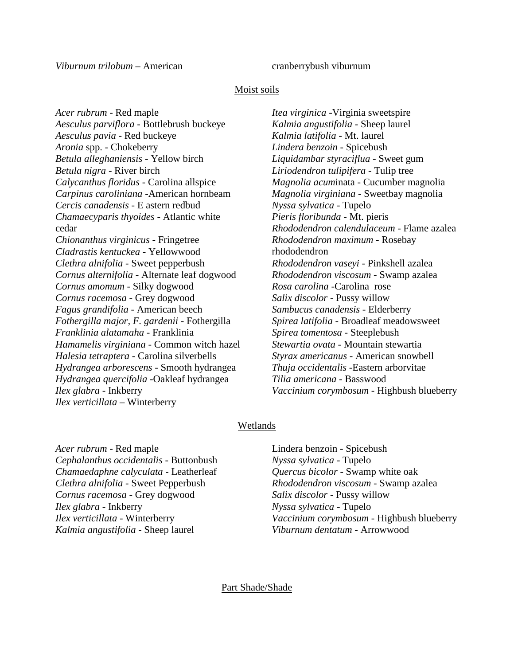*Viburnum trilobum* – American cranberrybush viburnum

# Moist soils

*Acer rubrum* - Red maple *Aesculus parviflora* - Bottlebrush buckeye *Aesculus pavia* - Red buckeye *Aronia* spp. - Chokeberry *Betula alleghaniensis* - Yellow birch *Betula nigra* - River birch *Calycanthus floridus* - Carolina allspice *Carpinus caroliniana* -American hornbeam *Cercis canadensis* - E astern redbud *Chamaecyparis thyoides* - Atlantic white cedar *Chionanthus virginicus* - Fringetree *Cladrastis kentuckea* - Yellowwood *Clethra alnifolia* - Sweet pepperbush *Cornus alternifolia* - Alternate leaf dogwood *Cornus amomum* - Silky dogwood *Cornus racemosa* - Grey dogwood *Fagus grandifolia* - American beech *Fothergilla major, F. gardenii* - Fothergilla *Franklinia alatamaha* - Franklinia *Hamamelis virginiana* - Common witch hazel *Halesia tetraptera* - Carolina silverbells *Hydrangea arborescens* - Smooth hydrangea *Hydrangea quercifolia* -Oakleaf hydrangea *Ilex glabra* - Inkberry *Ilex verticillata* – Winterberry

*Itea virginica* -Virginia sweetspire *Kalmia angustifolia* - Sheep laurel *Kalmia latifolia* - Mt. laurel *Lindera benzoin* - Spicebush *Liquidambar styraciflua* - Sweet gum *Liriodendron tulipifera* - Tulip tree *Magnolia acum*inata - Cucumber magnolia *Magnolia virginiana* - Sweetbay magnolia *Nyssa sylvatica* - Tupelo *Pieris floribunda* - Mt. pieris *Rhododendron calendulaceum* - Flame azalea *Rhododendron maximum* - Rosebay rhododendron *Rhododendron vaseyi* - Pinkshell azalea *Rhododendron viscosum* - Swamp azalea *Rosa carolina* -Carolina rose *Salix discolor* - Pussy willow *Sambucus canadensis* - Elderberry *Spirea latifolia* - Broadleaf meadowsweet *Spirea tomentosa* - Steeplebush *Stewartia ovata* - Mountain stewartia *Styrax americanus* - American snowbell *Thuja occidentalis* -Eastern arborvitae *Tilia americana* - Basswood *Vaccinium corymbosum* - Highbush blueberry

# Wetlands

*Acer rubrum* - Red maple *Cephalanthus occidentalis* - Buttonbush *Chamaedaphne calyculata* - Leatherleaf *Clethra alnifolia* - Sweet Pepperbush *Cornus racemosa* - Grey dogwood *Ilex glabra* - Inkberry *Ilex verticillata* - Winterberry *Kalmia angustifolia* - Sheep laurel

Lindera benzoin - Spicebush *Nyssa sylvatica* - Tupelo *Quercus bicolor* - Swamp white oak *Rhododendron viscosum* - Swamp azalea *Salix discolor* - Pussy willow *Nyssa sylvatica* - Tupelo *Vaccinium corymbosum* - Highbush blueberry *Viburnum dentatum* - Arrowwood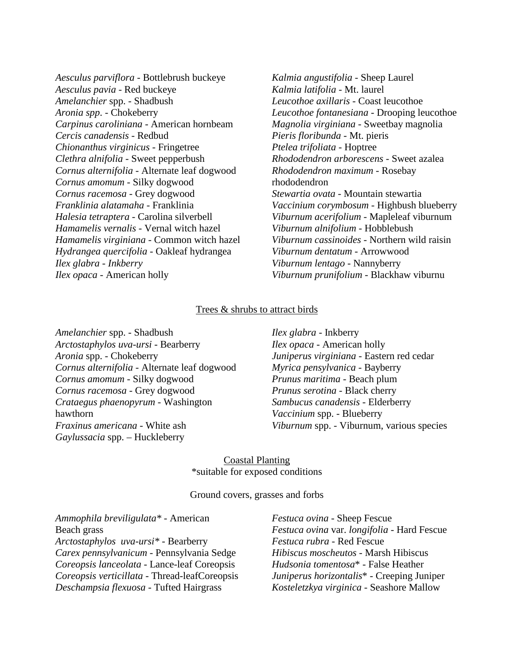- *Aesculus parviflora* Bottlebrush buckeye *Aesculus pavia* - Red buckeye *Amelanchier* spp. - Shadbush *Aronia spp*. - Chokeberry *Carpinus caroliniana* - American hornbeam *Cercis canadensis* - Redbud *Chionanthus virginicus* - Fringetree *Clethra alnifolia* - Sweet pepperbush *Cornus alternifolia* - Alternate leaf dogwood *Cornus amomum* - Silky dogwood *Cornus racemosa* - Grey dogwood *Franklinia alatamaha* - Franklinia *Halesia tetraptera* - Carolina silverbell *Hamamelis vernalis* - Vernal witch hazel *Hamamelis virginiana* - Common witch hazel *Hydrangea quercifolia* - Oakleaf hydrangea *Ilex glabra - Inkberry Ilex opaca* - American holly
- *Kalmia angustifolia* Sheep Laurel *Kalmia latifolia* - Mt. laurel *Leucothoe axillaris* - Coast leucothoe *Leucothoe fontanesiana* - Drooping leucothoe *Magnolia virginiana* - Sweetbay magnolia *Pieris floribunda* - Mt. pieris *Ptelea trifoliata* - Hoptree *Rhododendron arborescens* - Sweet azalea *Rhododendron maximum* - Rosebay rhododendron *Stewartia ovata* - Mountain stewartia *Vaccinium corymbosum* - Highbush blueberry *Viburnum acerifolium* - Mapleleaf viburnum *Viburnum alnifolium* - Hobblebush *Viburnum cassinoides* - Northern wild raisin *Viburnum dentatum* - Arrowwood *Viburnum lentago* - Nannyberry *Viburnum prunifolium* - Blackhaw viburnu

# Trees & shrubs to attract birds

*Amelanchier* spp. - Shadbush *Arctostaphylos uva-ursi* - Bearberry *Aronia* spp. - Chokeberry *Cornus alternifolia* - Alternate leaf dogwood *Cornus amomum* - Silky dogwood *Cornus racemosa* - Grey dogwood *Crataegus phaenopyrum* - Washington hawthorn *Fraxinus americana* - White ash *Gaylussacia* spp. – Huckleberry

# *Ilex glabra* - Inkberry *Ilex opaca* - American holly *Juniperus virginiana* - Eastern red cedar *Myrica pensylvanica* - Bayberry *Prunus maritima* - Beach plum *Prunus serotina* - Black cherry *Sambucus canadensis* - Elderberry *Vaccinium* spp. - Blueberry *Viburnum* spp. - Viburnum, various species

# Coastal Planting \*suitable for exposed conditions

#### Ground covers, grasses and forbs

*Ammophila breviligulata\** - American Beach grass *Arctostaphylos uva-ursi\** - Bearberry *Carex pennsylvanicum* - Pennsylvania Sedge *Coreopsis lanceolata* - Lance-leaf Coreopsis *Coreopsis verticillata* - Thread-leafCoreopsis *Deschampsia flexuosa* - Tufted Hairgrass

*Festuca ovina* - Sheep Fescue *Festuca ovina* var. *longifolia* - Hard Fescue *Festuca rubra* - Red Fescue *Hibiscus moscheutos* - Marsh Hibiscus *Hudsonia tomentosa*\* - False Heather *Juniperus horizontalis*\* - Creeping Juniper *Kosteletzkya virginica* - Seashore Mallow